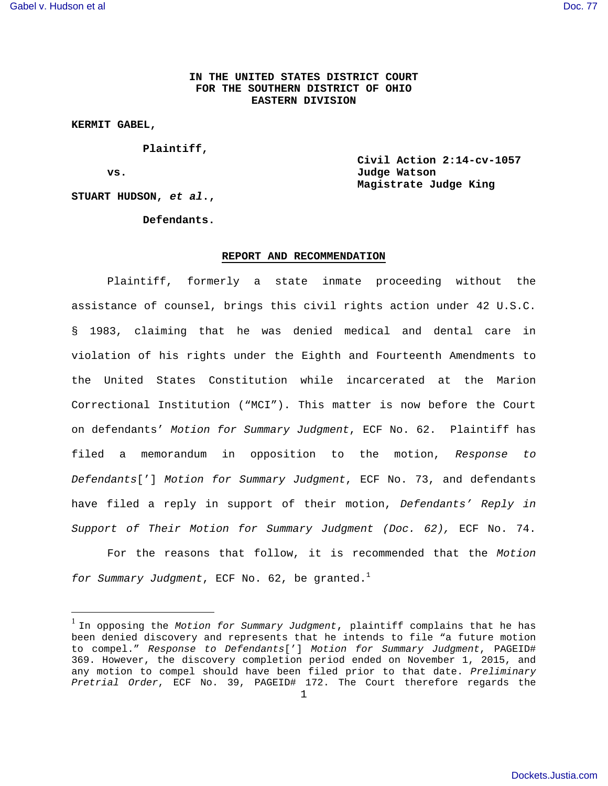# **IN THE UNITED STATES DISTRICT COURT FOR THE SOUTHERN DISTRICT OF OHIO EASTERN DIVISION**

**KERMIT GABEL,** 

 **Plaintiff,** 

 $\overline{a}$ 

**Civil Action 2:14-cv-1057 vs. Judge Watson Magistrate Judge King** 

 **Defendants.** 

**STUART HUDSON, et al.,** 

#### **REPORT AND RECOMMENDATION**

 Plaintiff, formerly a state inmate proceeding without the assistance of counsel, brings this civil rights action under 42 U.S.C. § 1983, claiming that he was denied medical and dental care in violation of his rights under the Eighth and Fourteenth Amendments to the United States Constitution while incarcerated at the Marion Correctional Institution ("MCI"). This matter is now before the Court on defendants' Motion for Summary Judgment, ECF No. 62. Plaintiff has filed a memorandum in opposition to the motion, Response to Defendants['] Motion for Summary Judgment, ECF No. 73, and defendants have filed a reply in support of their motion, Defendants' Reply in Support of Their Motion for Summary Judgment (Doc. 62), ECF No. 74.

 For the reasons that follow, it is recommended that the Motion for Summary Judgment, ECF No. 62, be granted.<sup>1</sup>

<sup>&</sup>lt;sup>1</sup> In opposing the Motion for Summary Judgment, plaintiff complains that he has been denied discovery and represents that he intends to file "a future motion to compel." Response to Defendants['] Motion for Summary Judgment, PAGEID# 369. However, the discovery completion period ended on November 1, 2015, and any motion to compel should have been filed prior to that date. Preliminary Pretrial Order, ECF No. 39, PAGEID# 172. The Court therefore regards the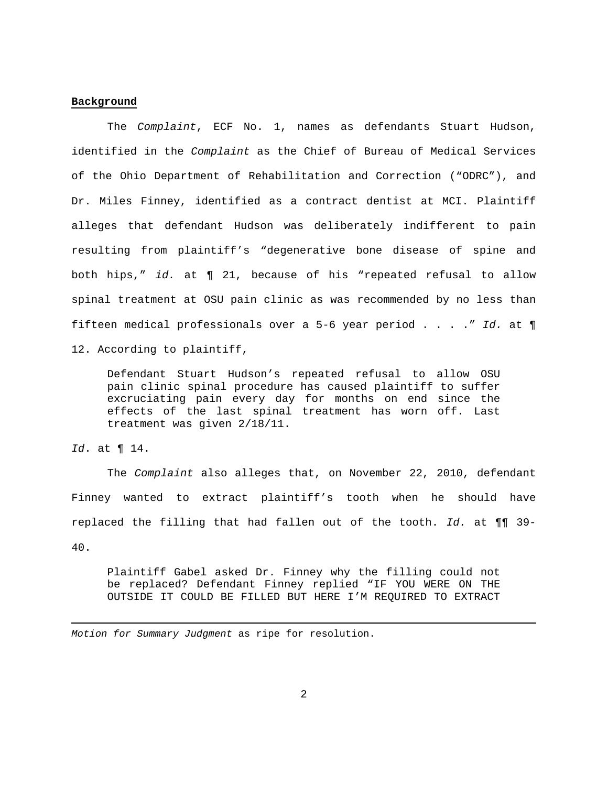## **Background**

 The Complaint, ECF No. 1, names as defendants Stuart Hudson, identified in the Complaint as the Chief of Bureau of Medical Services of the Ohio Department of Rehabilitation and Correction ("ODRC"), and Dr. Miles Finney, identified as a contract dentist at MCI. Plaintiff alleges that defendant Hudson was deliberately indifferent to pain resulting from plaintiff's "degenerative bone disease of spine and both hips," id. at ¶ 21, because of his "repeated refusal to allow spinal treatment at OSU pain clinic as was recommended by no less than fifteen medical professionals over a 5-6 year period . . . ." Id. at ¶ 12. According to plaintiff,

Defendant Stuart Hudson's repeated refusal to allow OSU pain clinic spinal procedure has caused plaintiff to suffer excruciating pain every day for months on end since the effects of the last spinal treatment has worn off. Last treatment was given 2/18/11.

Id. at ¶ 14.

<u>.</u>

 The Complaint also alleges that, on November 22, 2010, defendant Finney wanted to extract plaintiff's tooth when he should have replaced the filling that had fallen out of the tooth. Id. at  $\P\P$  39-40.

Plaintiff Gabel asked Dr. Finney why the filling could not be replaced? Defendant Finney replied "IF YOU WERE ON THE OUTSIDE IT COULD BE FILLED BUT HERE I'M REQUIRED TO EXTRACT

Motion for Summary Judgment as ripe for resolution.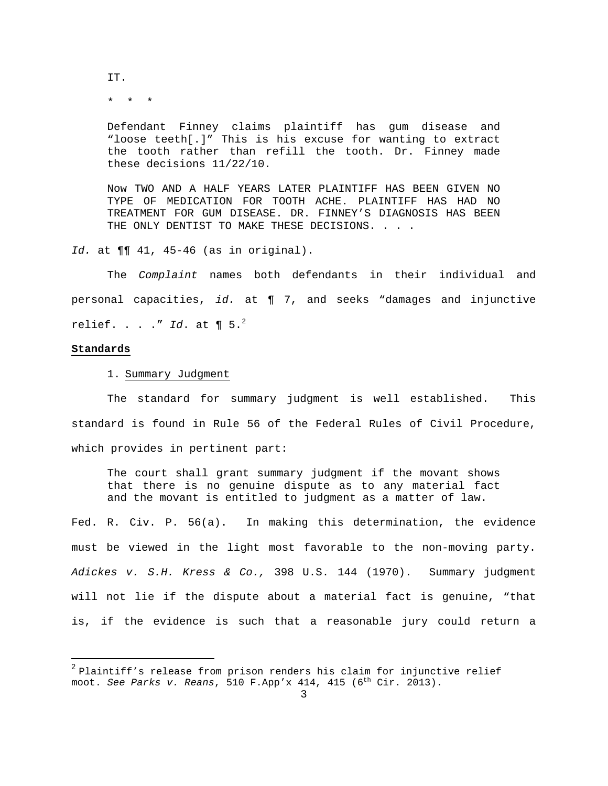IT.

\* \* \*

Defendant Finney claims plaintiff has gum disease and "loose teeth[.]" This is his excuse for wanting to extract the tooth rather than refill the tooth. Dr. Finney made these decisions 11/22/10.

Now TWO AND A HALF YEARS LATER PLAINTIFF HAS BEEN GIVEN NO TYPE OF MEDICATION FOR TOOTH ACHE. PLAINTIFF HAS HAD NO TREATMENT FOR GUM DISEASE. DR. FINNEY'S DIAGNOSIS HAS BEEN THE ONLY DENTIST TO MAKE THESE DECISIONS. . . .

Id. at ¶¶ 41, 45-46 (as in original).

 The Complaint names both defendants in their individual and personal capacities, id. at ¶ 7, and seeks "damages and injunctive relief. . . ." Id. at  $\P 5.^2$ 

## **Standards**

 $\overline{a}$ 

1. Summary Judgment

 The standard for summary judgment is well established. This standard is found in Rule 56 of the Federal Rules of Civil Procedure, which provides in pertinent part:

The court shall grant summary judgment if the movant shows that there is no genuine dispute as to any material fact and the movant is entitled to judgment as a matter of law.

Fed. R. Civ. P. 56(a). In making this determination, the evidence must be viewed in the light most favorable to the non-moving party. Adickes v. S.H. Kress & Co., 398 U.S. 144 (1970). Summary judgment will not lie if the dispute about a material fact is genuine, "that is, if the evidence is such that a reasonable jury could return a

<sup>&</sup>lt;sup>2</sup> Plaintiff's release from prison renders his claim for injunctive relief moot. See Parks v. Reans, 510 F.App'x 414, 415 ( $6<sup>th</sup> Cir. 2013$ ).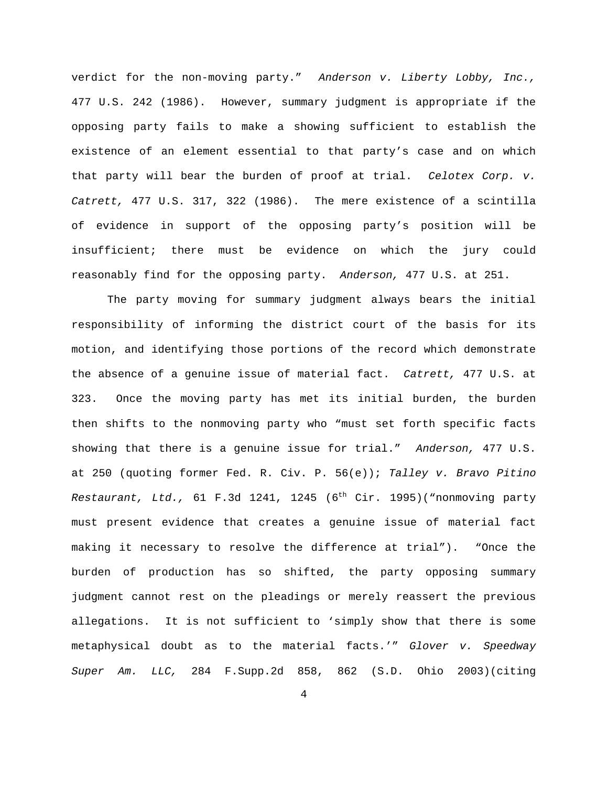verdict for the non-moving party." Anderson v. Liberty Lobby, Inc., 477 U.S. 242 (1986). However, summary judgment is appropriate if the opposing party fails to make a showing sufficient to establish the existence of an element essential to that party's case and on which that party will bear the burden of proof at trial. Celotex Corp. v. Catrett, 477 U.S. 317, 322 (1986). The mere existence of a scintilla of evidence in support of the opposing party's position will be insufficient; there must be evidence on which the jury could reasonably find for the opposing party. Anderson, 477 U.S. at 251.

 The party moving for summary judgment always bears the initial responsibility of informing the district court of the basis for its motion, and identifying those portions of the record which demonstrate the absence of a genuine issue of material fact. Catrett, 477 U.S. at 323. Once the moving party has met its initial burden, the burden then shifts to the nonmoving party who "must set forth specific facts showing that there is a genuine issue for trial." Anderson, 477 U.S. at 250 (quoting former Fed. R. Civ. P. 56(e)); Talley v. Bravo Pitino Restaurant, Ltd., 61 F.3d 1241, 1245 ( $6<sup>th</sup>$  Cir. 1995)("nonmoving party must present evidence that creates a genuine issue of material fact making it necessary to resolve the difference at trial"). "Once the burden of production has so shifted, the party opposing summary judgment cannot rest on the pleadings or merely reassert the previous allegations. It is not sufficient to 'simply show that there is some metaphysical doubt as to the material facts.'" Glover v. Speedway Super Am. LLC, 284 F.Supp.2d 858, 862 (S.D. Ohio 2003)(citing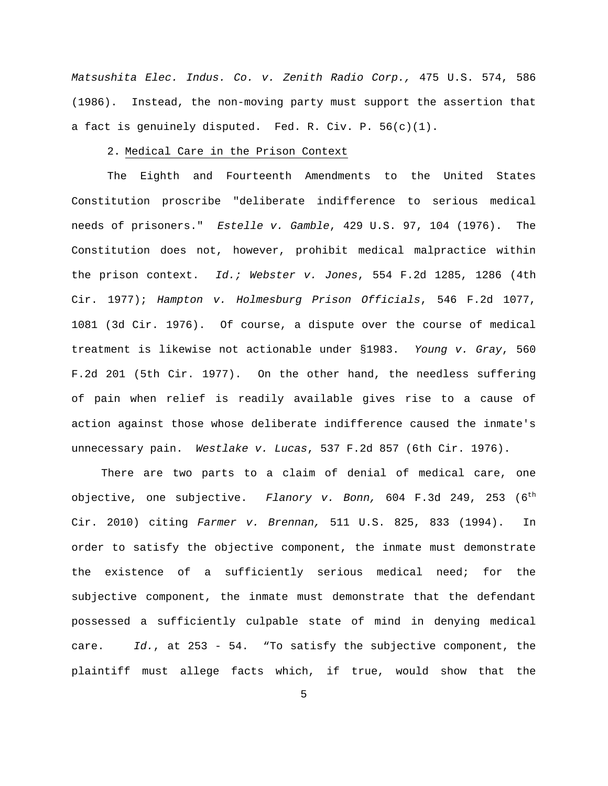Matsushita Elec. Indus. Co. v. Zenith Radio Corp., 475 U.S. 574, 586 (1986). Instead, the non-moving party must support the assertion that a fact is genuinely disputed. Fed. R. Civ. P. 56(c)(1).

### 2. Medical Care in the Prison Context

 The Eighth and Fourteenth Amendments to the United States Constitution proscribe "deliberate indifference to serious medical needs of prisoners." Estelle v. Gamble, 429 U.S. 97, 104 (1976). The Constitution does not, however, prohibit medical malpractice within the prison context. Id.; Webster v. Jones, 554 F.2d 1285, 1286 (4th Cir. 1977); Hampton v. Holmesburg Prison Officials, 546 F.2d 1077, 1081 (3d Cir. 1976). Of course, a dispute over the course of medical treatment is likewise not actionable under §1983. Young v. Gray, 560 F.2d 201 (5th Cir. 1977). On the other hand, the needless suffering of pain when relief is readily available gives rise to a cause of action against those whose deliberate indifference caused the inmate's unnecessary pain. Westlake v. Lucas, 537 F.2d 857 (6th Cir. 1976).

 There are two parts to a claim of denial of medical care, one objective, one subjective. Flanory v. Bonn, 604 F.3d 249, 253  $(6^{th}$ Cir. 2010) citing Farmer v. Brennan, 511 U.S. 825, 833 (1994). In order to satisfy the objective component, the inmate must demonstrate the existence of a sufficiently serious medical need; for the subjective component, the inmate must demonstrate that the defendant possessed a sufficiently culpable state of mind in denying medical care. Id., at 253 - 54. "To satisfy the subjective component, the plaintiff must allege facts which, if true, would show that the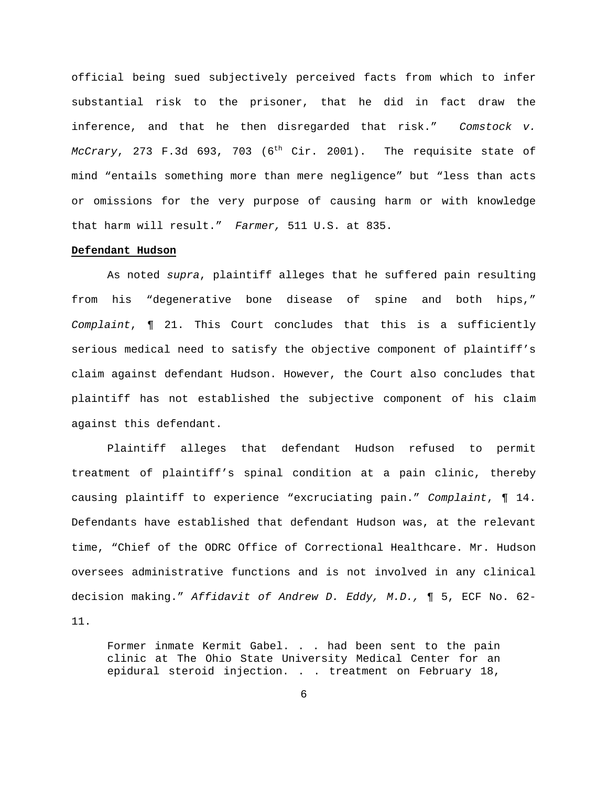official being sued subjectively perceived facts from which to infer substantial risk to the prisoner, that he did in fact draw the inference, and that he then disregarded that risk." Comstock v. McCrary, 273 F.3d 693, 703  $(6^{th}$  Cir. 2001). The requisite state of mind "entails something more than mere negligence" but "less than acts or omissions for the very purpose of causing harm or with knowledge that harm will result." Farmer, 511 U.S. at 835.

# **Defendant Hudson**

 As noted supra, plaintiff alleges that he suffered pain resulting from his "degenerative bone disease of spine and both hips," Complaint, ¶ 21. This Court concludes that this is a sufficiently serious medical need to satisfy the objective component of plaintiff's claim against defendant Hudson. However, the Court also concludes that plaintiff has not established the subjective component of his claim against this defendant.

 Plaintiff alleges that defendant Hudson refused to permit treatment of plaintiff's spinal condition at a pain clinic, thereby causing plaintiff to experience "excruciating pain." Complaint, ¶ 14. Defendants have established that defendant Hudson was, at the relevant time, "Chief of the ODRC Office of Correctional Healthcare. Mr. Hudson oversees administrative functions and is not involved in any clinical decision making." Affidavit of Andrew D. Eddy, M.D., ¶ 5, ECF No. 62- 11.

Former inmate Kermit Gabel. . . had been sent to the pain clinic at The Ohio State University Medical Center for an epidural steroid injection. . . treatment on February 18,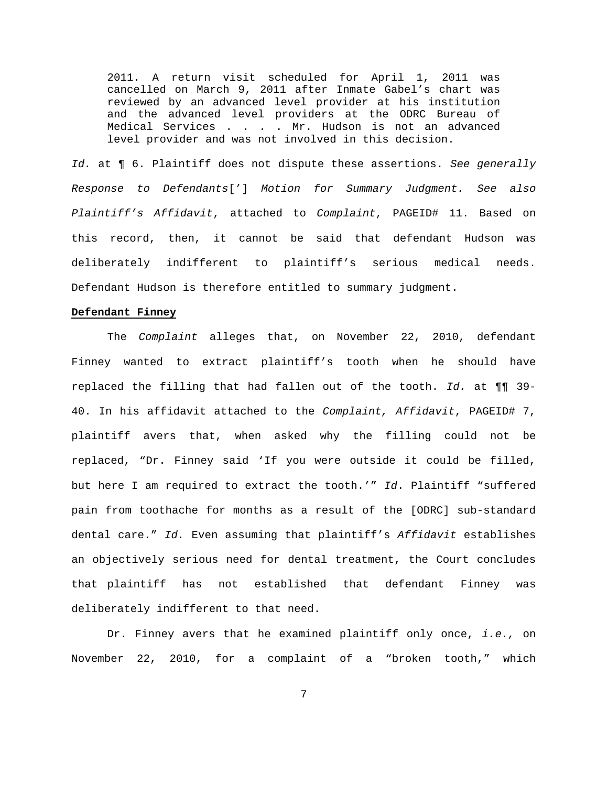2011. A return visit scheduled for April 1, 2011 was cancelled on March 9, 2011 after Inmate Gabel's chart was reviewed by an advanced level provider at his institution and the advanced level providers at the ODRC Bureau of Medical Services . . . . Mr. Hudson is not an advanced level provider and was not involved in this decision.

Id. at ¶ 6. Plaintiff does not dispute these assertions. See generally Response to Defendants['] Motion for Summary Judgment. See also Plaintiff's Affidavit, attached to Complaint, PAGEID# 11. Based on this record, then, it cannot be said that defendant Hudson was deliberately indifferent to plaintiff's serious medical needs. Defendant Hudson is therefore entitled to summary judgment.

#### **Defendant Finney**

 The Complaint alleges that, on November 22, 2010, defendant Finney wanted to extract plaintiff's tooth when he should have replaced the filling that had fallen out of the tooth. Id. at  $\P\P$  39-40. In his affidavit attached to the Complaint, Affidavit, PAGEID# 7, plaintiff avers that, when asked why the filling could not be replaced, "Dr. Finney said 'If you were outside it could be filled, but here I am required to extract the tooth.'" Id. Plaintiff "suffered pain from toothache for months as a result of the [ODRC] sub-standard dental care." Id. Even assuming that plaintiff's Affidavit establishes an objectively serious need for dental treatment, the Court concludes that plaintiff has not established that defendant Finney was deliberately indifferent to that need.

Dr. Finney avers that he examined plaintiff only once, i.e., on November 22, 2010, for a complaint of a "broken tooth," which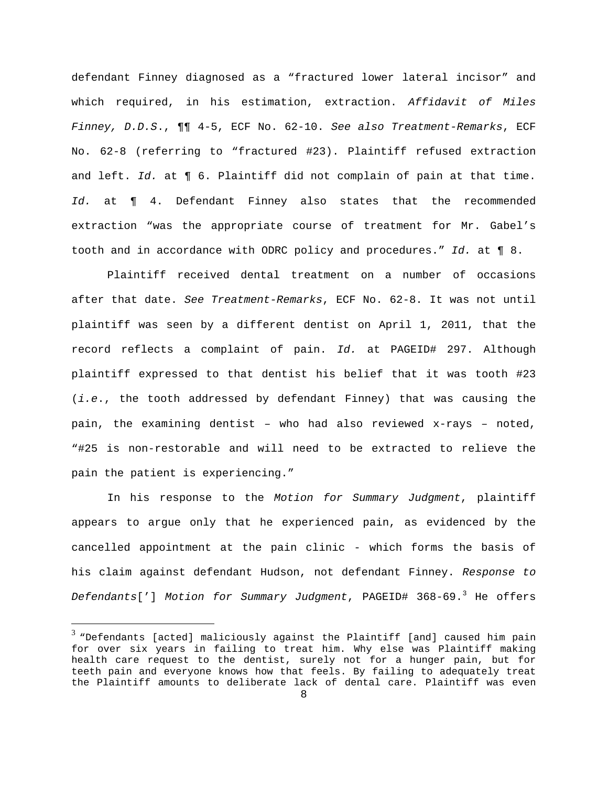defendant Finney diagnosed as a "fractured lower lateral incisor" and which required, in his estimation, extraction. Affidavit of Miles Finney, D.D.S., ¶¶ 4-5, ECF No. 62-10. See also Treatment-Remarks, ECF No. 62-8 (referring to "fractured #23). Plaintiff refused extraction and left. Id. at ¶ 6. Plaintiff did not complain of pain at that time. Id. at  $\P$  4. Defendant Finney also states that the recommended extraction "was the appropriate course of treatment for Mr. Gabel's tooth and in accordance with ODRC policy and procedures." Id. at ¶ 8.

 Plaintiff received dental treatment on a number of occasions after that date. See Treatment-Remarks, ECF No. 62-8. It was not until plaintiff was seen by a different dentist on April 1, 2011, that the record reflects a complaint of pain. Id. at PAGEID# 297. Although plaintiff expressed to that dentist his belief that it was tooth #23 (i.e., the tooth addressed by defendant Finney) that was causing the pain, the examining dentist – who had also reviewed x-rays – noted, "#25 is non-restorable and will need to be extracted to relieve the pain the patient is experiencing."

 In his response to the Motion for Summary Judgment, plaintiff appears to argue only that he experienced pain, as evidenced by the cancelled appointment at the pain clinic - which forms the basis of his claim against defendant Hudson, not defendant Finney. Response to Defendants['] Motion for Summary Judgment, PAGEID#  $368-69.^3$  He offers

 $\overline{a}$ 

 $^3$  "Defendants [acted] maliciously against the Plaintiff [and] caused him pain for over six years in failing to treat him. Why else was Plaintiff making health care request to the dentist, surely not for a hunger pain, but for teeth pain and everyone knows how that feels. By failing to adequately treat the Plaintiff amounts to deliberate lack of dental care. Plaintiff was even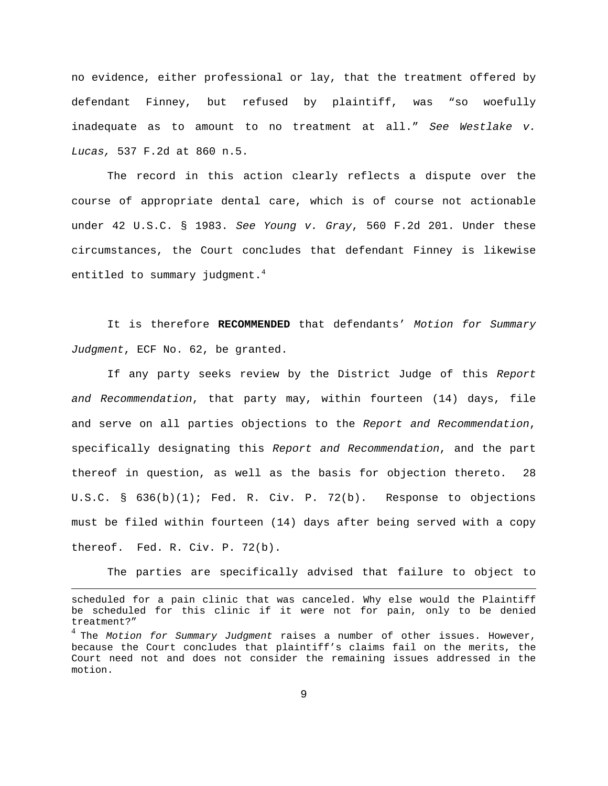no evidence, either professional or lay, that the treatment offered by defendant Finney, but refused by plaintiff, was "so woefully inadequate as to amount to no treatment at all." See Westlake v. Lucas, 537 F.2d at 860 n.5.

 The record in this action clearly reflects a dispute over the course of appropriate dental care, which is of course not actionable under 42 U.S.C. § 1983. See Young v. Gray, 560 F.2d 201. Under these circumstances, the Court concludes that defendant Finney is likewise entitled to summary judgment. $4$ 

 It is therefore **RECOMMENDED** that defendants' Motion for Summary Judgment, ECF No. 62, be granted.

 If any party seeks review by the District Judge of this Report and Recommendation, that party may, within fourteen (14) days, file and serve on all parties objections to the Report and Recommendation, specifically designating this Report and Recommendation, and the part thereof in question, as well as the basis for objection thereto. 28 U.S.C. §  $636(b)(1)$ ; Fed. R. Civ. P. 72(b). Response to objections must be filed within fourteen (14) days after being served with a copy thereof. Fed. R. Civ. P. 72(b).

The parties are specifically advised that failure to object to

<u>.</u>

scheduled for a pain clinic that was canceled. Why else would the Plaintiff be scheduled for this clinic if it were not for pain, only to be denied treatment?"

 $^4$  The *Motion for Summary Judgment* raises a number of other issues. However, because the Court concludes that plaintiff's claims fail on the merits, the Court need not and does not consider the remaining issues addressed in the motion.